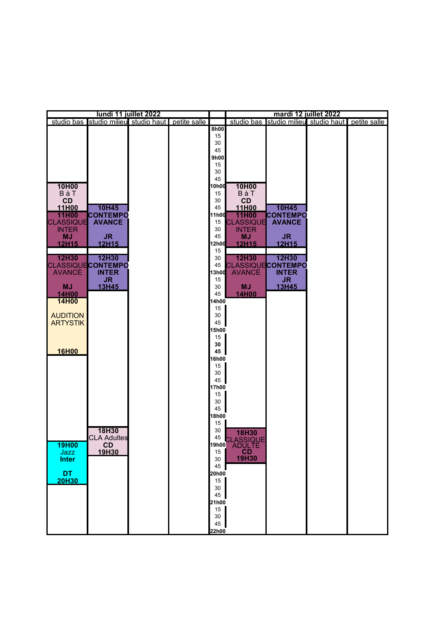|                  |                                                   | lundi 11 juillet 2022 |             | mardi 12 juillet 2022    |                 |                                                   |  |
|------------------|---------------------------------------------------|-----------------------|-------------|--------------------------|-----------------|---------------------------------------------------|--|
|                  | studio bas studio milieu studio haut petite salle |                       |             |                          |                 | studio bas studio milieu studio haut petite salle |  |
|                  |                                                   |                       | 8h00        |                          |                 |                                                   |  |
|                  |                                                   |                       | 15          |                          |                 |                                                   |  |
|                  |                                                   |                       | 30<br>45    |                          |                 |                                                   |  |
|                  |                                                   |                       | 9h00        |                          |                 |                                                   |  |
|                  |                                                   |                       | 15          |                          |                 |                                                   |  |
|                  |                                                   |                       | 30          |                          |                 |                                                   |  |
|                  |                                                   |                       | 45          |                          |                 |                                                   |  |
| 10H00            |                                                   |                       | 10h00       | 10H00                    |                 |                                                   |  |
| BàT              |                                                   |                       | 15          | BàT                      |                 |                                                   |  |
| CD               |                                                   |                       | 30          | CD                       |                 |                                                   |  |
| 11H00            | 10H45                                             |                       | 45          | 11H00                    | 10H45           |                                                   |  |
| 11H00            | <b>CONTEMPO</b>                                   |                       | 11h00       | 11H00                    | <b>CONTEMPO</b> |                                                   |  |
| <b>CLASSIQUE</b> | <b>AVANCE</b>                                     |                       | 15          | <b>CLASSIQUE</b>         | <b>AVANCE</b>   |                                                   |  |
| <b>INTER</b>     |                                                   |                       | 30          | <b>INTER</b>             |                 |                                                   |  |
| <b>MJ</b>        | <b>JR</b>                                         |                       | 45          | <b>MJ</b>                | JR.             |                                                   |  |
| 12H15            | 12H15                                             |                       | 12h00       | 12H15                    | 12H15           |                                                   |  |
| 12H30            | 12H30                                             |                       | 15<br>30    | 12H30                    | 12H30           |                                                   |  |
|                  | <b>CLASSIQUECONTEMPO</b>                          |                       | 45          | <b>CLASSIQUECONTEMPO</b> |                 |                                                   |  |
| <b>AVANCÉ</b>    | <b>INTER</b>                                      |                       | 13h00       | <b>AVANCÉ</b>            | <b>INTER</b>    |                                                   |  |
|                  | <b>JR</b>                                         |                       | 15          |                          | <b>JR</b>       |                                                   |  |
| <b>MJ</b>        | 13H45                                             |                       | 30          | <b>MJ</b>                | 13H45           |                                                   |  |
| 14H00            |                                                   |                       | 45          | 14H00                    |                 |                                                   |  |
| 14H00            |                                                   |                       | 4h00        |                          |                 |                                                   |  |
|                  |                                                   |                       | 15          |                          |                 |                                                   |  |
| <b>AUDITION</b>  |                                                   |                       | 30          |                          |                 |                                                   |  |
| <b>ARTYSTIK</b>  |                                                   |                       | 45          |                          |                 |                                                   |  |
|                  |                                                   |                       | <b>5h00</b> |                          |                 |                                                   |  |
|                  |                                                   |                       | 15          |                          |                 |                                                   |  |
|                  |                                                   |                       | 30<br>45    |                          |                 |                                                   |  |
| 16H00            |                                                   |                       | 16h00       |                          |                 |                                                   |  |
|                  |                                                   |                       | 15          |                          |                 |                                                   |  |
|                  |                                                   |                       | 30          |                          |                 |                                                   |  |
|                  |                                                   |                       | 45          |                          |                 |                                                   |  |
|                  |                                                   |                       | 17h00       |                          |                 |                                                   |  |
|                  |                                                   |                       | 15          |                          |                 |                                                   |  |
|                  |                                                   |                       | 30          |                          |                 |                                                   |  |
|                  |                                                   |                       | 45          |                          |                 |                                                   |  |
|                  |                                                   |                       | 18h00       |                          |                 |                                                   |  |
|                  |                                                   |                       | 15          |                          |                 |                                                   |  |
|                  | 18H30                                             |                       | 30          | <b>18H30</b>             |                 |                                                   |  |
| 19H00            | <b>CLA Adultes</b><br>CD                          |                       | 19h00       | 45 CLASSIQUE<br>ADULTE   |                 |                                                   |  |
| Jazz             | 19H30                                             |                       | 15          | <b>CD</b>                |                 |                                                   |  |
| <b>Inter</b>     |                                                   |                       | 30          | 19H30                    |                 |                                                   |  |
|                  |                                                   |                       | 45          |                          |                 |                                                   |  |
| <b>DT</b>        |                                                   |                       | 20h00       |                          |                 |                                                   |  |
| <b>20H30</b>     |                                                   |                       | 15          |                          |                 |                                                   |  |
|                  |                                                   |                       | 30          |                          |                 |                                                   |  |
|                  |                                                   |                       | 45          |                          |                 |                                                   |  |
|                  |                                                   |                       | 21h00       |                          |                 |                                                   |  |
|                  |                                                   |                       | 15          |                          |                 |                                                   |  |
|                  |                                                   |                       | 30          |                          |                 |                                                   |  |
|                  |                                                   |                       | 45          |                          |                 |                                                   |  |
|                  |                                                   |                       | 22h00       |                          |                 |                                                   |  |